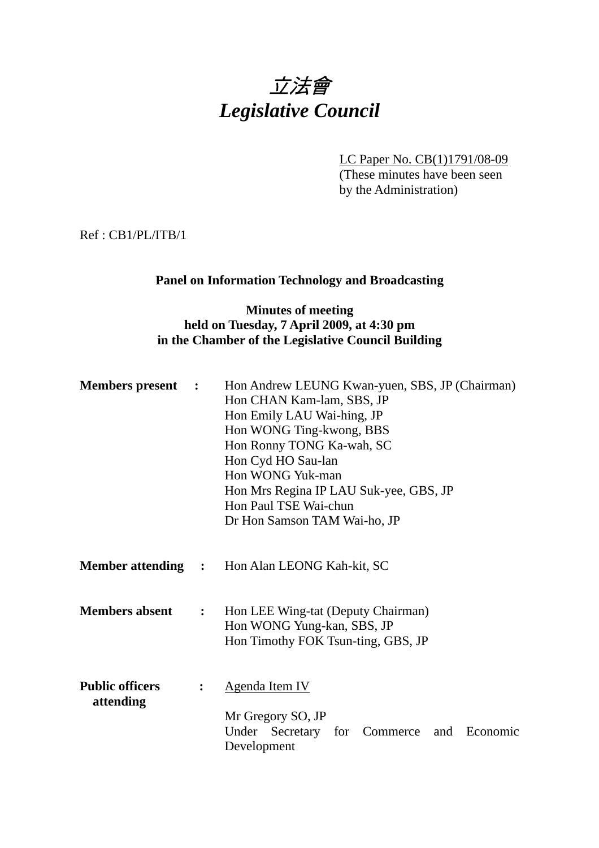# 立法會 *Legislative Council*

LC Paper No. CB(1)1791/08-09

(These minutes have been seen by the Administration)

Ref : CB1/PL/ITB/1

# **Panel on Information Technology and Broadcasting**

# **Minutes of meeting held on Tuesday, 7 April 2009, at 4:30 pm in the Chamber of the Legislative Council Building**

| <b>Members</b> present              | $\ddot{\phantom{1}}$ | Hon Andrew LEUNG Kwan-yuen, SBS, JP (Chairman)<br>Hon CHAN Kam-lam, SBS, JP<br>Hon Emily LAU Wai-hing, JP<br>Hon WONG Ting-kwong, BBS<br>Hon Ronny TONG Ka-wah, SC<br>Hon Cyd HO Sau-lan<br>Hon WONG Yuk-man<br>Hon Mrs Regina IP LAU Suk-yee, GBS, JP<br>Hon Paul TSE Wai-chun<br>Dr Hon Samson TAM Wai-ho, JP |  |
|-------------------------------------|----------------------|-----------------------------------------------------------------------------------------------------------------------------------------------------------------------------------------------------------------------------------------------------------------------------------------------------------------|--|
|                                     |                      | <b>Member attending : Hon Alan LEONG Kah-kit, SC</b>                                                                                                                                                                                                                                                            |  |
| <b>Members absent</b>               | $\ddot{\cdot}$       | Hon LEE Wing-tat (Deputy Chairman)<br>Hon WONG Yung-kan, SBS, JP<br>Hon Timothy FOK Tsun-ting, GBS, JP                                                                                                                                                                                                          |  |
| <b>Public officers</b><br>attending |                      | <b>Agenda Item IV</b><br>Mr Gregory SO, JP<br>Under Secretary for Commerce<br>and Economic<br>Development                                                                                                                                                                                                       |  |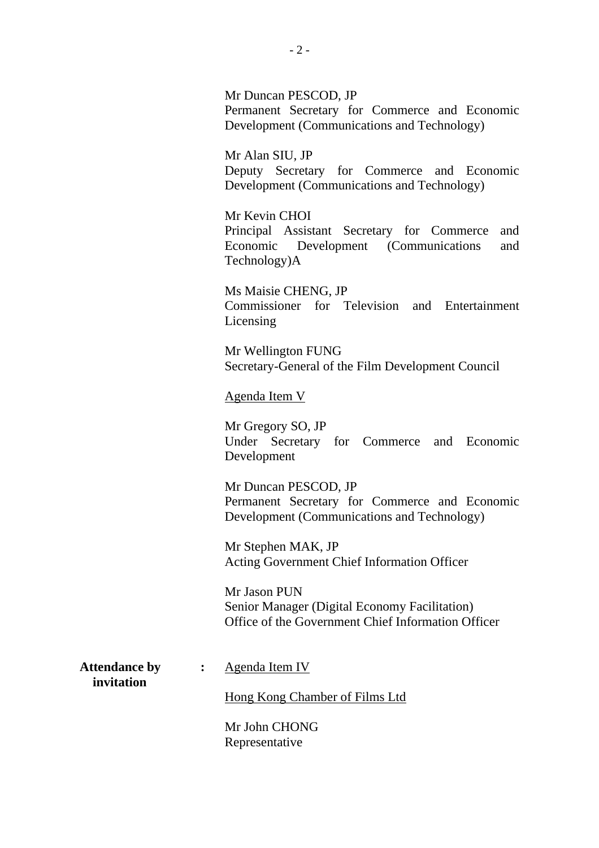Mr Duncan PESCOD, JP Permanent Secretary for Commerce and Economic Development (Communications and Technology)

Mr Alan SIU, JP Deputy Secretary for Commerce and Economic Development (Communications and Technology)

Mr Kevin CHOI Principal Assistant Secretary for Commerce and Economic Development (Communications and Technology)A

Ms Maisie CHENG, JP Commissioner for Television and Entertainment Licensing

Mr Wellington FUNG Secretary-General of the Film Development Council

Agenda Item V

Mr Gregory SO, JP Under Secretary for Commerce and Economic Development

Mr Duncan PESCOD, JP Permanent Secretary for Commerce and Economic Development (Communications and Technology)

Mr Stephen MAK, JP Acting Government Chief Information Officer

Mr Jason PUN Senior Manager (Digital Economy Facilitation) Office of the Government Chief Information Officer

 **invitation** 

**Attendance by :** Agenda Item IV

Hong Kong Chamber of Films Ltd

Mr John CHONG Representative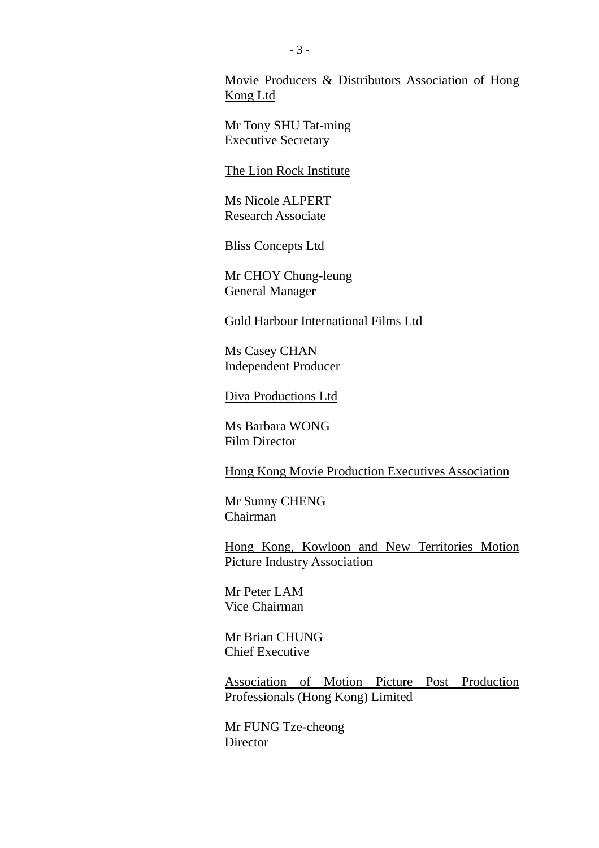Movie Producers & Distributors Association of Hong Kong Ltd

Mr Tony SHU Tat-ming Executive Secretary

The Lion Rock Institute

Ms Nicole ALPERT Research Associate

Bliss Concepts Ltd

Mr CHOY Chung-leung General Manager

Gold Harbour International Films Ltd

Ms Casey CHAN Independent Producer

Diva Productions Ltd

Ms Barbara WONG Film Director

Hong Kong Movie Production Executives Association

Mr Sunny CHENG Chairman

Hong Kong, Kowloon and New Territories Motion Picture Industry Association

Mr Peter LAM Vice Chairman

Mr Brian CHUNG Chief Executive

Association of Motion Picture Post Production Professionals (Hong Kong) Limited

Mr FUNG Tze-cheong **Director**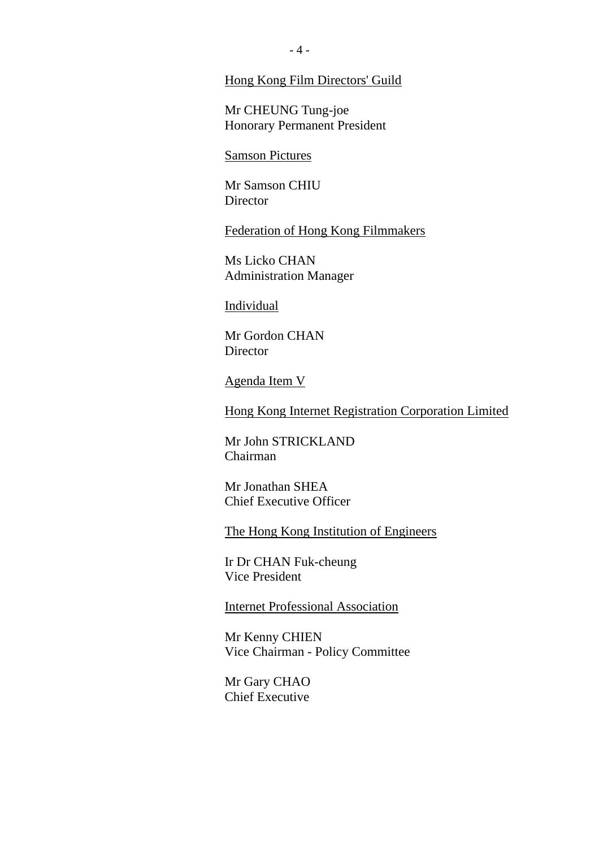#### Hong Kong Film Directors' Guild

Mr CHEUNG Tung-joe Honorary Permanent President

Samson Pictures

Mr Samson CHIU **Director** 

Federation of Hong Kong Filmmakers

Ms Licko CHAN Administration Manager

**Individual** 

Mr Gordon CHAN **Director** 

Agenda Item V

Hong Kong Internet Registration Corporation Limited

Mr John STRICKLAND Chairman

Mr Jonathan SHEA Chief Executive Officer

The Hong Kong Institution of Engineers

Ir Dr CHAN Fuk-cheung Vice President

Internet Professional Association

Mr Kenny CHIEN Vice Chairman - Policy Committee

Mr Gary CHAO Chief Executive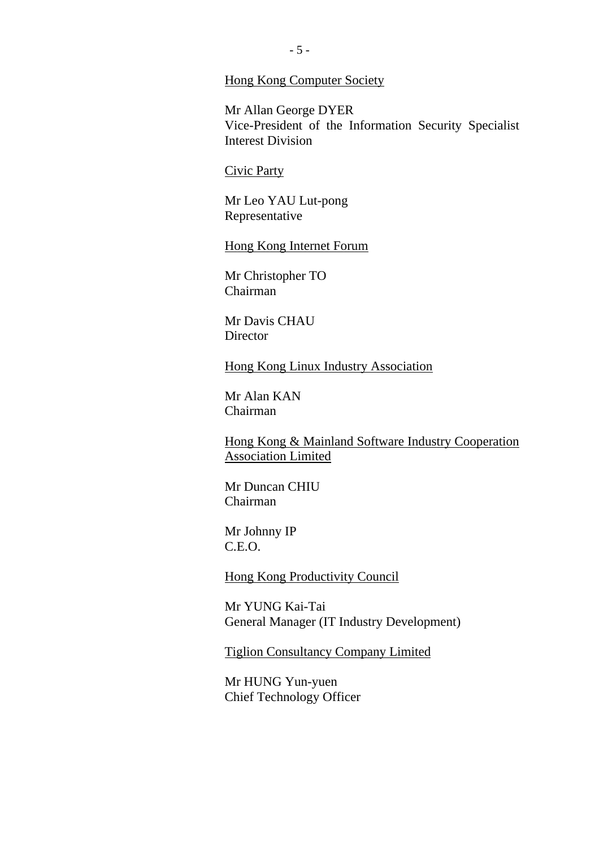#### Hong Kong Computer Society

Mr Allan George DYER Vice-President of the Information Security Specialist Interest Division

#### Civic Party

Mr Leo YAU Lut-pong Representative

Hong Kong Internet Forum

Mr Christopher TO Chairman

Mr Davis CHAU **Director** 

Hong Kong Linux Industry Association

Mr Alan KAN Chairman

Hong Kong & Mainland Software Industry Cooperation Association Limited

Mr Duncan CHIU Chairman

Mr Johnny IP C.E.O.

Hong Kong Productivity Council

Mr YUNG Kai-Tai General Manager (IT Industry Development)

Tiglion Consultancy Company Limited

Mr HUNG Yun-yuen Chief Technology Officer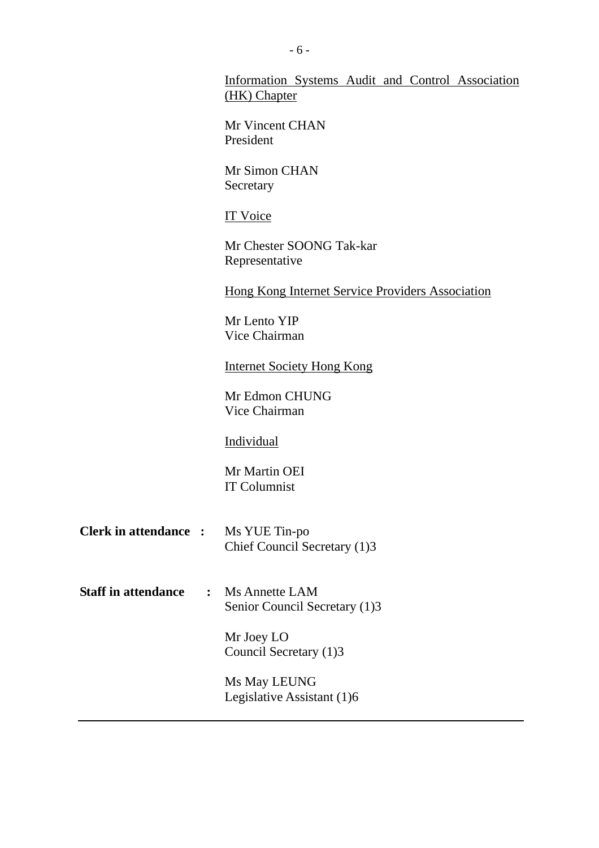|                                              | Information Systems Audit and Control Association<br>(HK) Chapter |
|----------------------------------------------|-------------------------------------------------------------------|
|                                              | Mr Vincent CHAN<br>President                                      |
|                                              | Mr Simon CHAN<br>Secretary                                        |
|                                              | <b>IT Voice</b>                                                   |
|                                              | Mr Chester SOONG Tak-kar<br>Representative                        |
|                                              | <b>Hong Kong Internet Service Providers Association</b>           |
|                                              | Mr Lento YIP<br>Vice Chairman                                     |
|                                              | <b>Internet Society Hong Kong</b>                                 |
|                                              | Mr Edmon CHUNG<br>Vice Chairman                                   |
|                                              | <b>Individual</b>                                                 |
|                                              | Mr Martin OEI<br><b>IT Columnist</b>                              |
| <b>Clerk in attendance :</b>                 | Ms YUE Tin-po<br>Chief Council Secretary (1)3                     |
| <b>Staff in attendance</b><br>$\ddot{\cdot}$ | Ms Annette LAM<br>Senior Council Secretary (1)3                   |
|                                              | Mr Joey LO<br>Council Secretary (1)3                              |
|                                              | Ms May LEUNG<br>Legislative Assistant (1)6                        |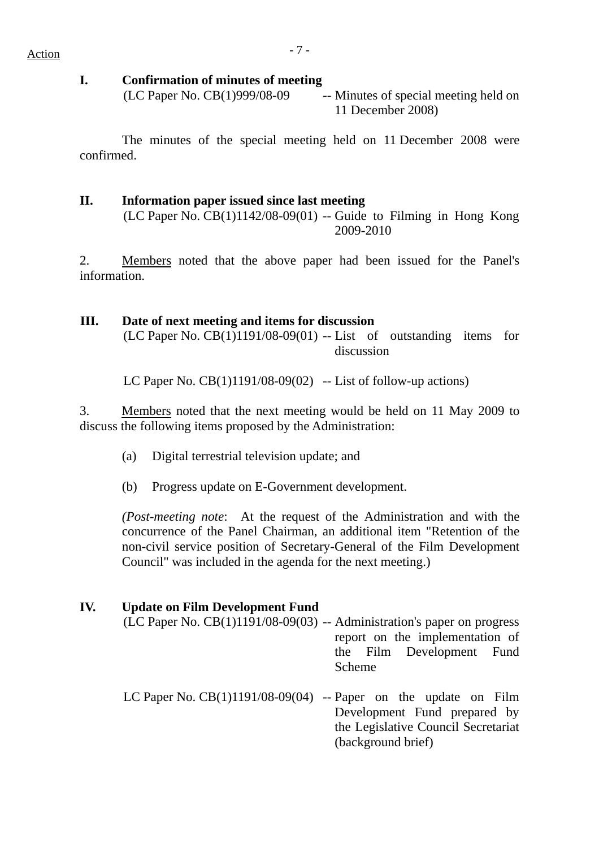#### **I. Confirmation of minutes of meeting**

 $(LC$  Paper No.  $CB(1)999/08-09$  -- Minutes of special meeting held on 11 December 2008)

 The minutes of the special meeting held on 11 December 2008 were confirmed.

### **II. Information paper issued since last meeting**   $(LC$  Paper No.  $CB(1)1142/08-09(01)$  -- Guide to Filming in Hong Kong

2009-2010

2. Members noted that the above paper had been issued for the Panel's information.

#### **III. Date of next meeting and items for discussion**

 $(LC$  Paper No.  $CB(1)1191/08-09(01)$  -- List of outstanding items for discussion

LC Paper No.  $CB(1)1191/08-09(02)$  -- List of follow-up actions)

3. Members noted that the next meeting would be held on 11 May 2009 to discuss the following items proposed by the Administration:

- (a) Digital terrestrial television update; and
- (b) Progress update on E-Government development.

*(Post-meeting note*: At the request of the Administration and with the concurrence of the Panel Chairman, an additional item "Retention of the non-civil service position of Secretary-General of the Film Development Council" was included in the agenda for the next meeting.)

#### **IV. Update on Film Development Fund**

- (LC Paper No. CB(1)1191/08-09(03) -- Administration's paper on progress report on the implementation of the Film Development Fund Scheme
- LC Paper No.  $CB(1)1191/08-09(04)$  -- Paper on the update on Film Development Fund prepared by the Legislative Council Secretariat (background brief)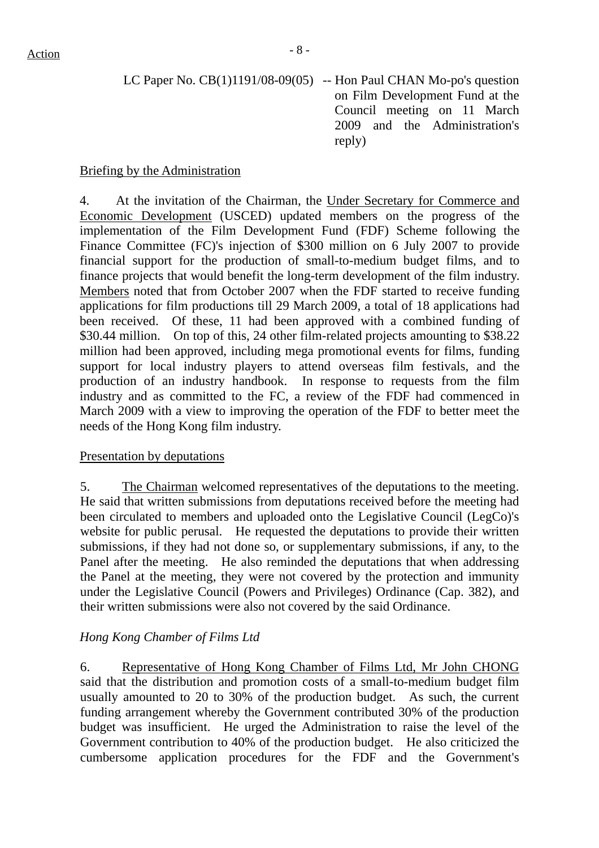| LC Paper No. $CB(1)1191/08-09(05)$ -- Hon Paul CHAN Mo-po's question |
|----------------------------------------------------------------------|
| on Film Development Fund at the                                      |
| Council meeting on 11 March                                          |
| 2009 and the Administration's                                        |
| reply)                                                               |

# Briefing by the Administration

4. At the invitation of the Chairman, the Under Secretary for Commerce and Economic Development (USCED) updated members on the progress of the implementation of the Film Development Fund (FDF) Scheme following the Finance Committee (FC)'s injection of \$300 million on 6 July 2007 to provide financial support for the production of small-to-medium budget films, and to finance projects that would benefit the long-term development of the film industry. Members noted that from October 2007 when the FDF started to receive funding applications for film productions till 29 March 2009, a total of 18 applications had been received. Of these, 11 had been approved with a combined funding of \$30.44 million. On top of this, 24 other film-related projects amounting to \$38.22 million had been approved, including mega promotional events for films, funding support for local industry players to attend overseas film festivals, and the production of an industry handbook. In response to requests from the film industry and as committed to the FC, a review of the FDF had commenced in March 2009 with a view to improving the operation of the FDF to better meet the needs of the Hong Kong film industry.

# Presentation by deputations

5. The Chairman welcomed representatives of the deputations to the meeting. He said that written submissions from deputations received before the meeting had been circulated to members and uploaded onto the Legislative Council (LegCo)'s website for public perusal. He requested the deputations to provide their written submissions, if they had not done so, or supplementary submissions, if any, to the Panel after the meeting. He also reminded the deputations that when addressing the Panel at the meeting, they were not covered by the protection and immunity under the Legislative Council (Powers and Privileges) Ordinance (Cap. 382), and their written submissions were also not covered by the said Ordinance.

# *Hong Kong Chamber of Films Ltd*

6. Representative of Hong Kong Chamber of Films Ltd, Mr John CHONG said that the distribution and promotion costs of a small-to-medium budget film usually amounted to 20 to 30% of the production budget. As such, the current funding arrangement whereby the Government contributed 30% of the production budget was insufficient. He urged the Administration to raise the level of the Government contribution to 40% of the production budget. He also criticized the cumbersome application procedures for the FDF and the Government's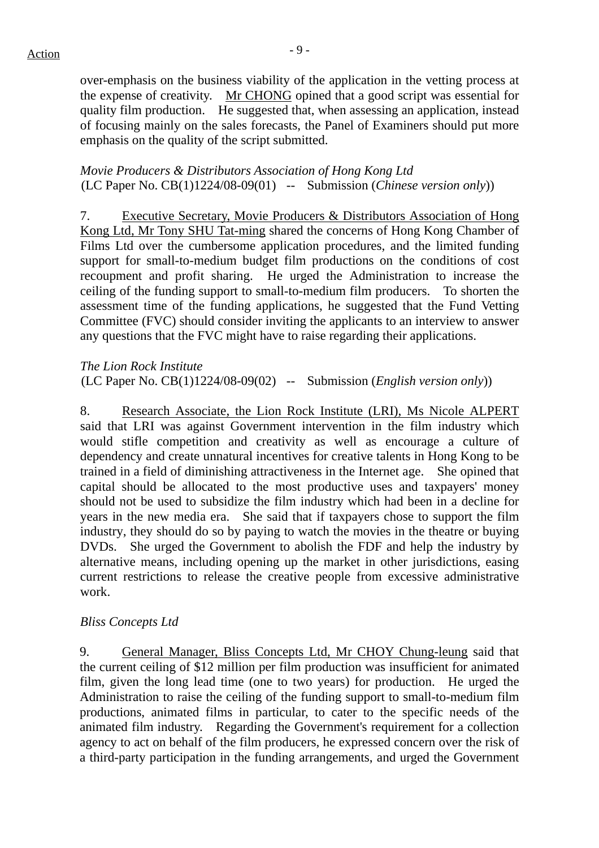over-emphasis on the business viability of the application in the vetting process at the expense of creativity. Mr CHONG opined that a good script was essential for quality film production. He suggested that, when assessing an application, instead of focusing mainly on the sales forecasts, the Panel of Examiners should put more emphasis on the quality of the script submitted.

#### *Movie Producers & Distributors Association of Hong Kong Ltd* (LC Paper No. CB(1)1224/08-09(01) -- Submission (*Chinese version only*))

7. Executive Secretary, Movie Producers & Distributors Association of Hong Kong Ltd, Mr Tony SHU Tat-ming shared the concerns of Hong Kong Chamber of Films Ltd over the cumbersome application procedures, and the limited funding support for small-to-medium budget film productions on the conditions of cost recoupment and profit sharing. He urged the Administration to increase the ceiling of the funding support to small-to-medium film producers. To shorten the assessment time of the funding applications, he suggested that the Fund Vetting Committee (FVC) should consider inviting the applicants to an interview to answer any questions that the FVC might have to raise regarding their applications.

*The Lion Rock Institute* (LC Paper No. CB(1)1224/08-09(02) -- Submission (*English version only*))

8. Research Associate, the Lion Rock Institute (LRI), Ms Nicole ALPERT said that LRI was against Government intervention in the film industry which would stifle competition and creativity as well as encourage a culture of dependency and create unnatural incentives for creative talents in Hong Kong to be trained in a field of diminishing attractiveness in the Internet age. She opined that capital should be allocated to the most productive uses and taxpayers' money should not be used to subsidize the film industry which had been in a decline for years in the new media era. She said that if taxpayers chose to support the film industry, they should do so by paying to watch the movies in the theatre or buying DVDs. She urged the Government to abolish the FDF and help the industry by alternative means, including opening up the market in other jurisdictions, easing current restrictions to release the creative people from excessive administrative work.

# *Bliss Concepts Ltd*

9. General Manager, Bliss Concepts Ltd, Mr CHOY Chung-leung said that the current ceiling of \$12 million per film production was insufficient for animated film, given the long lead time (one to two years) for production. He urged the Administration to raise the ceiling of the funding support to small-to-medium film productions, animated films in particular, to cater to the specific needs of the animated film industry. Regarding the Government's requirement for a collection agency to act on behalf of the film producers, he expressed concern over the risk of a third-party participation in the funding arrangements, and urged the Government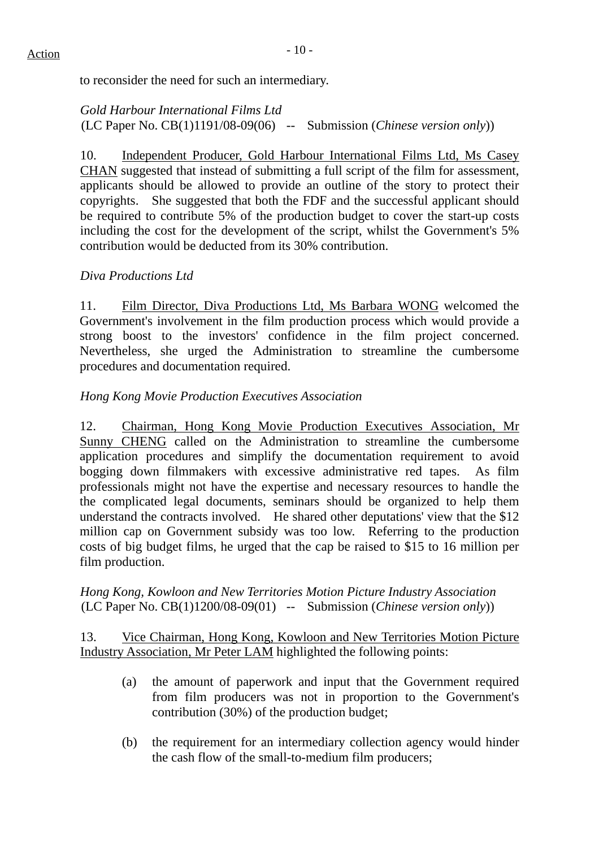to reconsider the need for such an intermediary.

*Gold Harbour International Films Ltd* (LC Paper No. CB(1)1191/08-09(06) -- Submission (*Chinese version only*))

10. Independent Producer, Gold Harbour International Films Ltd, Ms Casey CHAN suggested that instead of submitting a full script of the film for assessment, applicants should be allowed to provide an outline of the story to protect their copyrights. She suggested that both the FDF and the successful applicant should be required to contribute 5% of the production budget to cover the start-up costs including the cost for the development of the script, whilst the Government's 5% contribution would be deducted from its 30% contribution.

# *Diva Productions Ltd*

11. Film Director, Diva Productions Ltd, Ms Barbara WONG welcomed the Government's involvement in the film production process which would provide a strong boost to the investors' confidence in the film project concerned. Nevertheless, she urged the Administration to streamline the cumbersome procedures and documentation required.

# *Hong Kong Movie Production Executives Association*

12. Chairman, Hong Kong Movie Production Executives Association, Mr Sunny CHENG called on the Administration to streamline the cumbersome application procedures and simplify the documentation requirement to avoid bogging down filmmakers with excessive administrative red tapes. As film professionals might not have the expertise and necessary resources to handle the the complicated legal documents, seminars should be organized to help them understand the contracts involved. He shared other deputations' view that the \$12 million cap on Government subsidy was too low. Referring to the production costs of big budget films, he urged that the cap be raised to \$15 to 16 million per film production.

*Hong Kong, Kowloon and New Territories Motion Picture Industry Association* (LC Paper No. CB(1)1200/08-09(01) -- Submission (*Chinese version only*))

13. Vice Chairman, Hong Kong, Kowloon and New Territories Motion Picture Industry Association, Mr Peter LAM highlighted the following points:

- (a) the amount of paperwork and input that the Government required from film producers was not in proportion to the Government's contribution (30%) of the production budget;
- (b) the requirement for an intermediary collection agency would hinder the cash flow of the small-to-medium film producers;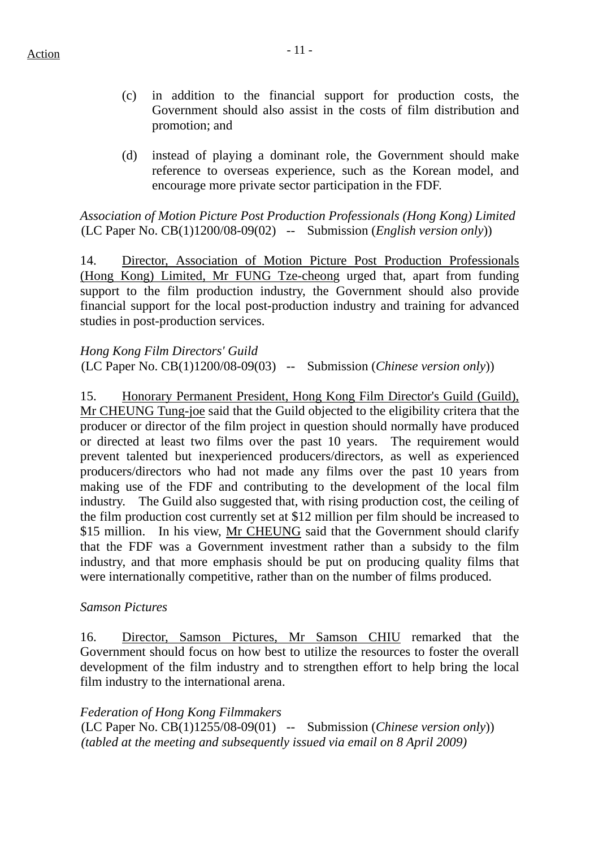- (c) in addition to the financial support for production costs, the Government should also assist in the costs of film distribution and promotion; and
- (d) instead of playing a dominant role, the Government should make reference to overseas experience, such as the Korean model, and encourage more private sector participation in the FDF.

*Association of Motion Picture Post Production Professionals (Hong Kong) Limited* (LC Paper No. CB(1)1200/08-09(02) -- Submission (*English version only*))

14. Director, Association of Motion Picture Post Production Professionals (Hong Kong) Limited, Mr FUNG Tze-cheong urged that, apart from funding support to the film production industry, the Government should also provide financial support for the local post-production industry and training for advanced studies in post-production services.

*Hong Kong Film Directors' Guild* (LC Paper No. CB(1)1200/08-09(03) -- Submission (*Chinese version only*))

15. Honorary Permanent President, Hong Kong Film Director's Guild (Guild), Mr CHEUNG Tung-joe said that the Guild objected to the eligibility critera that the producer or director of the film project in question should normally have produced or directed at least two films over the past 10 years. The requirement would prevent talented but inexperienced producers/directors, as well as experienced producers/directors who had not made any films over the past 10 years from making use of the FDF and contributing to the development of the local film industry. The Guild also suggested that, with rising production cost, the ceiling of the film production cost currently set at \$12 million per film should be increased to \$15 million. In his view, Mr CHEUNG said that the Government should clarify that the FDF was a Government investment rather than a subsidy to the film industry, and that more emphasis should be put on producing quality films that were internationally competitive, rather than on the number of films produced.

#### *Samson Pictures*

16. Director, Samson Pictures, Mr Samson CHIU remarked that the Government should focus on how best to utilize the resources to foster the overall development of the film industry and to strengthen effort to help bring the local film industry to the international arena.

*Federation of Hong Kong Filmmakers* (LC Paper No. CB(1)1255/08-09(01) -- Submission (*Chinese version only*)) *(tabled at the meeting and subsequently issued via email on 8 April 2009)*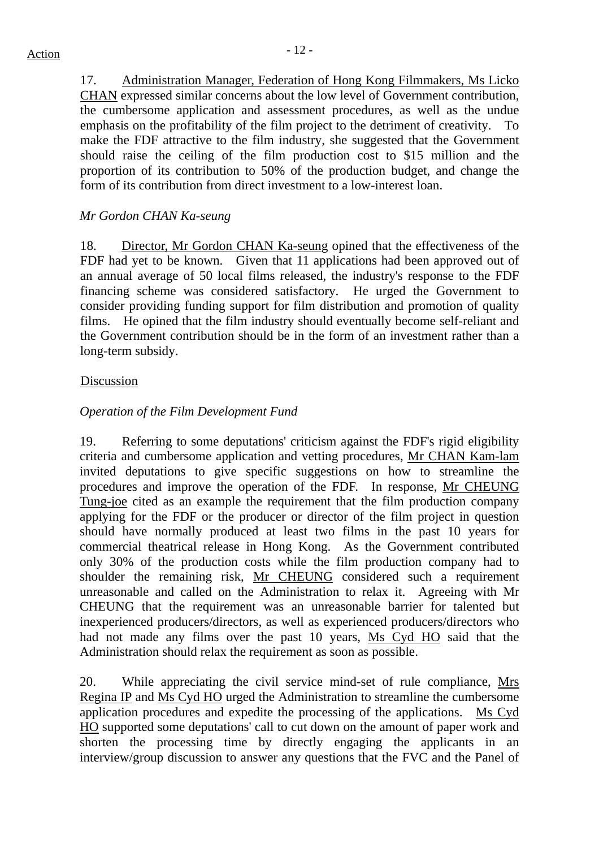17. Administration Manager, Federation of Hong Kong Filmmakers, Ms Licko CHAN expressed similar concerns about the low level of Government contribution, the cumbersome application and assessment procedures, as well as the undue emphasis on the profitability of the film project to the detriment of creativity. To make the FDF attractive to the film industry, she suggested that the Government should raise the ceiling of the film production cost to \$15 million and the proportion of its contribution to 50% of the production budget, and change the form of its contribution from direct investment to a low-interest loan.

# *Mr Gordon CHAN Ka-seung*

18. Director, Mr Gordon CHAN Ka-seung opined that the effectiveness of the FDF had yet to be known. Given that 11 applications had been approved out of an annual average of 50 local films released, the industry's response to the FDF financing scheme was considered satisfactory. He urged the Government to consider providing funding support for film distribution and promotion of quality films. He opined that the film industry should eventually become self-reliant and the Government contribution should be in the form of an investment rather than a long-term subsidy.

### Discussion

# *Operation of the Film Development Fund*

19. Referring to some deputations' criticism against the FDF's rigid eligibility criteria and cumbersome application and vetting procedures, Mr CHAN Kam-lam invited deputations to give specific suggestions on how to streamline the procedures and improve the operation of the FDF. In response, Mr CHEUNG Tung-joe cited as an example the requirement that the film production company applying for the FDF or the producer or director of the film project in question should have normally produced at least two films in the past 10 years for commercial theatrical release in Hong Kong. As the Government contributed only 30% of the production costs while the film production company had to shoulder the remaining risk, Mr CHEUNG considered such a requirement unreasonable and called on the Administration to relax it. Agreeing with Mr CHEUNG that the requirement was an unreasonable barrier for talented but inexperienced producers/directors, as well as experienced producers/directors who had not made any films over the past 10 years, Ms Cyd HO said that the Administration should relax the requirement as soon as possible.

20. While appreciating the civil service mind-set of rule compliance, Mrs Regina IP and Ms Cyd HO urged the Administration to streamline the cumbersome application procedures and expedite the processing of the applications. Ms Cyd HO supported some deputations' call to cut down on the amount of paper work and shorten the processing time by directly engaging the applicants in an interview/group discussion to answer any questions that the FVC and the Panel of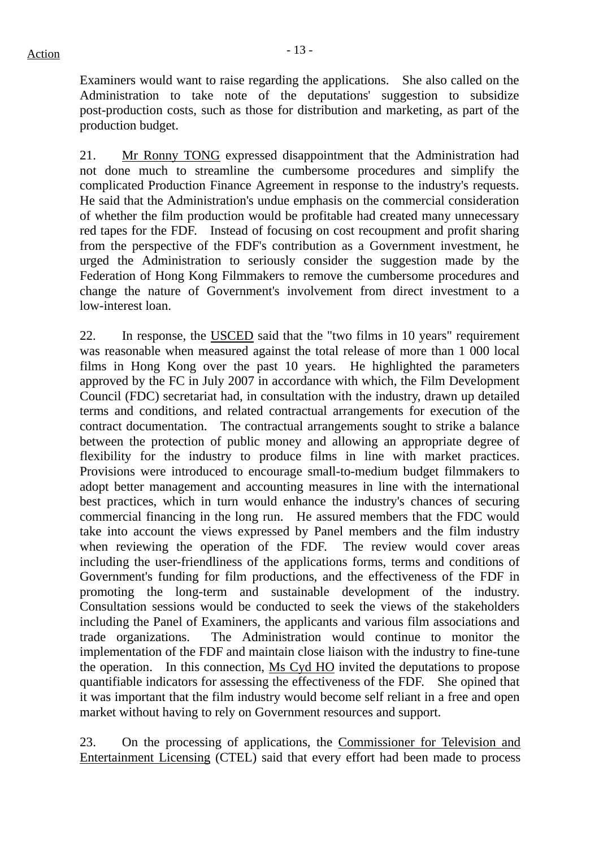Examiners would want to raise regarding the applications. She also called on the Administration to take note of the deputations' suggestion to subsidize post-production costs, such as those for distribution and marketing, as part of the production budget.

21. Mr Ronny TONG expressed disappointment that the Administration had not done much to streamline the cumbersome procedures and simplify the complicated Production Finance Agreement in response to the industry's requests. He said that the Administration's undue emphasis on the commercial consideration of whether the film production would be profitable had created many unnecessary red tapes for the FDF. Instead of focusing on cost recoupment and profit sharing from the perspective of the FDF's contribution as a Government investment, he urged the Administration to seriously consider the suggestion made by the Federation of Hong Kong Filmmakers to remove the cumbersome procedures and change the nature of Government's involvement from direct investment to a low-interest loan.

22. In response, the USCED said that the "two films in 10 years" requirement was reasonable when measured against the total release of more than 1 000 local films in Hong Kong over the past 10 years. He highlighted the parameters approved by the FC in July 2007 in accordance with which, the Film Development Council (FDC) secretariat had, in consultation with the industry, drawn up detailed terms and conditions, and related contractual arrangements for execution of the contract documentation. The contractual arrangements sought to strike a balance between the protection of public money and allowing an appropriate degree of flexibility for the industry to produce films in line with market practices. Provisions were introduced to encourage small-to-medium budget filmmakers to adopt better management and accounting measures in line with the international best practices, which in turn would enhance the industry's chances of securing commercial financing in the long run. He assured members that the FDC would take into account the views expressed by Panel members and the film industry when reviewing the operation of the FDF. The review would cover areas including the user-friendliness of the applications forms, terms and conditions of Government's funding for film productions, and the effectiveness of the FDF in promoting the long-term and sustainable development of the industry. Consultation sessions would be conducted to seek the views of the stakeholders including the Panel of Examiners, the applicants and various film associations and trade organizations. The Administration would continue to monitor the implementation of the FDF and maintain close liaison with the industry to fine-tune the operation. In this connection, Ms Cyd HO invited the deputations to propose quantifiable indicators for assessing the effectiveness of the FDF. She opined that it was important that the film industry would become self reliant in a free and open market without having to rely on Government resources and support.

23. On the processing of applications, the Commissioner for Television and Entertainment Licensing (CTEL) said that every effort had been made to process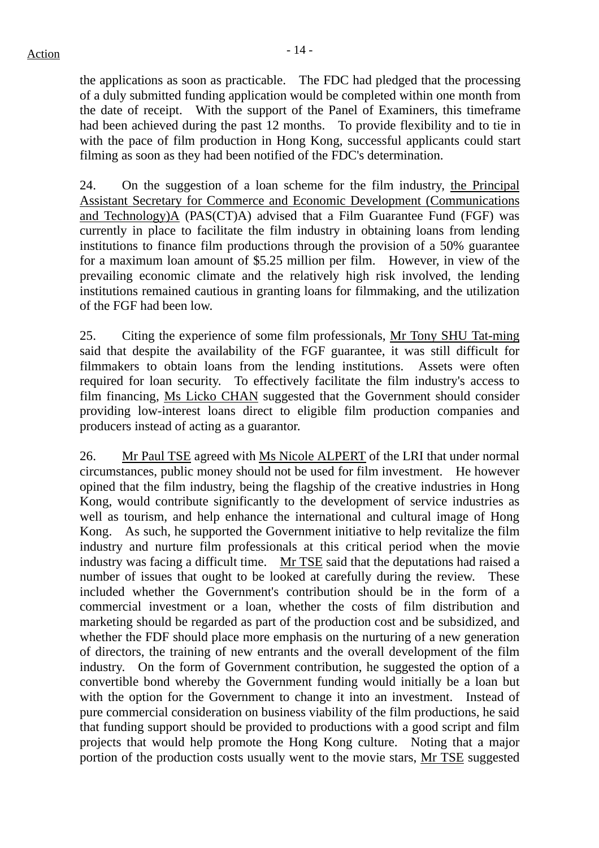the applications as soon as practicable. The FDC had pledged that the processing of a duly submitted funding application would be completed within one month from the date of receipt. With the support of the Panel of Examiners, this timeframe had been achieved during the past 12 months. To provide flexibility and to tie in with the pace of film production in Hong Kong, successful applicants could start filming as soon as they had been notified of the FDC's determination.

24. On the suggestion of a loan scheme for the film industry, the Principal Assistant Secretary for Commerce and Economic Development (Communications and Technology)A (PAS(CT)A) advised that a Film Guarantee Fund (FGF) was currently in place to facilitate the film industry in obtaining loans from lending institutions to finance film productions through the provision of a 50% guarantee for a maximum loan amount of \$5.25 million per film. However, in view of the prevailing economic climate and the relatively high risk involved, the lending institutions remained cautious in granting loans for filmmaking, and the utilization of the FGF had been low.

25. Citing the experience of some film professionals, Mr Tony SHU Tat-ming said that despite the availability of the FGF guarantee, it was still difficult for filmmakers to obtain loans from the lending institutions. Assets were often required for loan security. To effectively facilitate the film industry's access to film financing, Ms Licko CHAN suggested that the Government should consider providing low-interest loans direct to eligible film production companies and producers instead of acting as a guarantor.

26. Mr Paul TSE agreed with Ms Nicole ALPERT of the LRI that under normal circumstances, public money should not be used for film investment. He however opined that the film industry, being the flagship of the creative industries in Hong Kong, would contribute significantly to the development of service industries as well as tourism, and help enhance the international and cultural image of Hong Kong. As such, he supported the Government initiative to help revitalize the film industry and nurture film professionals at this critical period when the movie industry was facing a difficult time. Mr TSE said that the deputations had raised a number of issues that ought to be looked at carefully during the review. These included whether the Government's contribution should be in the form of a commercial investment or a loan, whether the costs of film distribution and marketing should be regarded as part of the production cost and be subsidized, and whether the FDF should place more emphasis on the nurturing of a new generation of directors, the training of new entrants and the overall development of the film industry. On the form of Government contribution, he suggested the option of a convertible bond whereby the Government funding would initially be a loan but with the option for the Government to change it into an investment. Instead of pure commercial consideration on business viability of the film productions, he said that funding support should be provided to productions with a good script and film projects that would help promote the Hong Kong culture. Noting that a major portion of the production costs usually went to the movie stars, Mr TSE suggested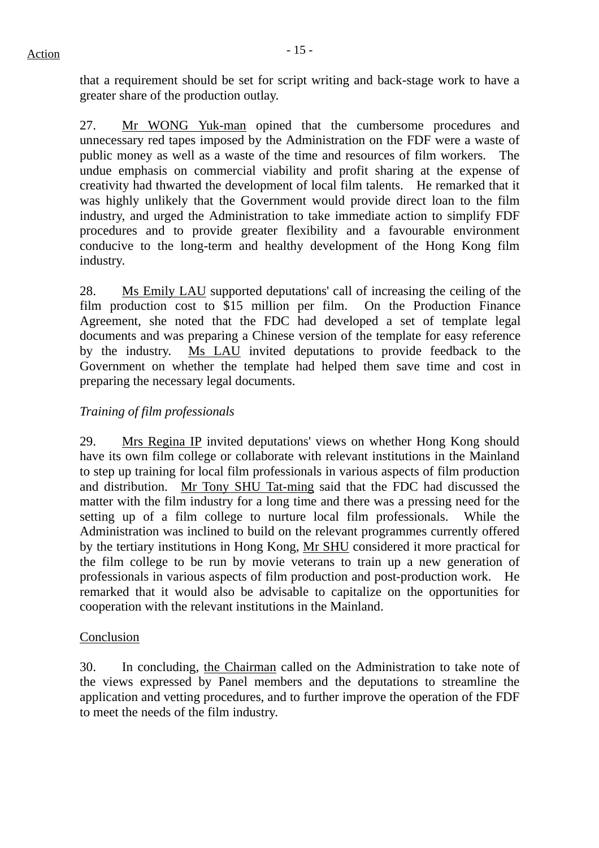that a requirement should be set for script writing and back-stage work to have a greater share of the production outlay.

27. Mr WONG Yuk-man opined that the cumbersome procedures and unnecessary red tapes imposed by the Administration on the FDF were a waste of public money as well as a waste of the time and resources of film workers. The undue emphasis on commercial viability and profit sharing at the expense of creativity had thwarted the development of local film talents. He remarked that it was highly unlikely that the Government would provide direct loan to the film industry, and urged the Administration to take immediate action to simplify FDF procedures and to provide greater flexibility and a favourable environment conducive to the long-term and healthy development of the Hong Kong film industry.

28. Ms Emily LAU supported deputations' call of increasing the ceiling of the film production cost to \$15 million per film. On the Production Finance Agreement, she noted that the FDC had developed a set of template legal documents and was preparing a Chinese version of the template for easy reference by the industry. Ms LAU invited deputations to provide feedback to the Government on whether the template had helped them save time and cost in preparing the necessary legal documents.

# *Training of film professionals*

29. Mrs Regina IP invited deputations' views on whether Hong Kong should have its own film college or collaborate with relevant institutions in the Mainland to step up training for local film professionals in various aspects of film production and distribution. Mr Tony SHU Tat-ming said that the FDC had discussed the matter with the film industry for a long time and there was a pressing need for the setting up of a film college to nurture local film professionals. While the Administration was inclined to build on the relevant programmes currently offered by the tertiary institutions in Hong Kong, Mr SHU considered it more practical for the film college to be run by movie veterans to train up a new generation of professionals in various aspects of film production and post-production work. He remarked that it would also be advisable to capitalize on the opportunities for cooperation with the relevant institutions in the Mainland.

# Conclusion

30. In concluding, the Chairman called on the Administration to take note of the views expressed by Panel members and the deputations to streamline the application and vetting procedures, and to further improve the operation of the FDF to meet the needs of the film industry.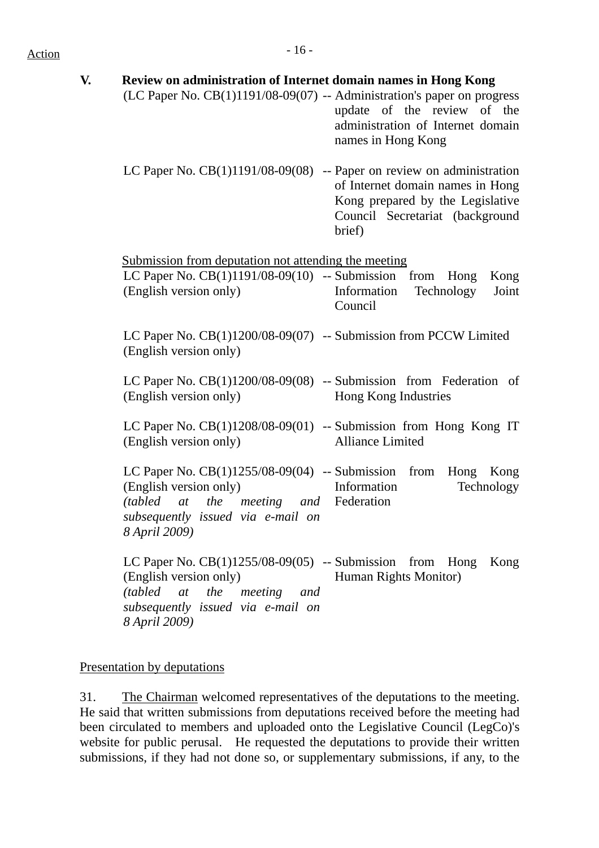# $Action$

| Review on administration of Internet domain names in Hong Kong                                                                                                                           |                                                                                                                   |
|------------------------------------------------------------------------------------------------------------------------------------------------------------------------------------------|-------------------------------------------------------------------------------------------------------------------|
| (LC Paper No. CB(1)1191/08-09(07) -- Administration's paper on progress                                                                                                                  | update of the review of the<br>administration of Internet domain<br>names in Hong Kong                            |
| LC Paper No. $CB(1)1191/08-09(08)$ -- Paper on review on administration                                                                                                                  | of Internet domain names in Hong<br>Kong prepared by the Legislative<br>Council Secretariat (background<br>brief) |
| Submission from deputation not attending the meeting                                                                                                                                     |                                                                                                                   |
| LC Paper No. $CB(1)1191/08-09(10)$ -- Submission from Hong<br>(English version only)                                                                                                     | Kong<br>Information<br>Technology<br>Joint<br>Council                                                             |
| LC Paper No. CB(1)1200/08-09(07) -- Submission from PCCW Limited<br>(English version only)                                                                                               |                                                                                                                   |
| LC Paper No. $CB(1)1200/08-09(08)$ -- Submission from Federation of<br>(English version only)                                                                                            | Hong Kong Industries                                                                                              |
| LC Paper No. $CB(1)1208/08-09(01)$ -- Submission from Hong Kong IT<br>(English version only)                                                                                             | <b>Alliance Limited</b>                                                                                           |
| LC Paper No. $CB(1)1255/08-09(04)$ -- Submission from Hong Kong<br>(English version only)<br>(tabled at the meeting and Federation<br>subsequently issued via e-mail on<br>8 April 2009) | Information<br>Technology                                                                                         |
| LC Paper No. $CB(1)1255/08-09(05)$ -- Submission from Hong<br>(English version only)<br>(tabled<br>at the meeting and<br>subsequently issued via e-mail on<br>8 April 2009)              | Kong<br>Human Rights Monitor)                                                                                     |

# Presentation by deputations

31. The Chairman welcomed representatives of the deputations to the meeting. He said that written submissions from deputations received before the meeting had been circulated to members and uploaded onto the Legislative Council (LegCo)'s website for public perusal. He requested the deputations to provide their written submissions, if they had not done so, or supplementary submissions, if any, to the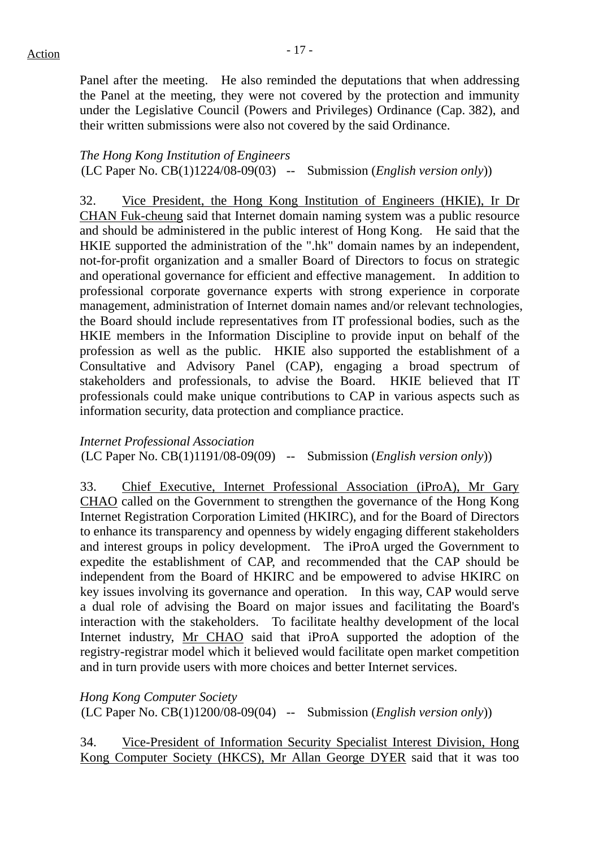Panel after the meeting. He also reminded the deputations that when addressing the Panel at the meeting, they were not covered by the protection and immunity under the Legislative Council (Powers and Privileges) Ordinance (Cap. 382), and their written submissions were also not covered by the said Ordinance.

*The Hong Kong Institution of Engineers*  (LC Paper No. CB(1)1224/08-09(03) -- Submission (*English version only*))

32. Vice President, the Hong Kong Institution of Engineers (HKIE), Ir Dr CHAN Fuk-cheung said that Internet domain naming system was a public resource and should be administered in the public interest of Hong Kong. He said that the HKIE supported the administration of the ".hk" domain names by an independent, not-for-profit organization and a smaller Board of Directors to focus on strategic and operational governance for efficient and effective management. In addition to professional corporate governance experts with strong experience in corporate management, administration of Internet domain names and/or relevant technologies, the Board should include representatives from IT professional bodies, such as the HKIE members in the Information Discipline to provide input on behalf of the profession as well as the public. HKIE also supported the establishment of a Consultative and Advisory Panel (CAP), engaging a broad spectrum of stakeholders and professionals, to advise the Board. HKIE believed that IT professionals could make unique contributions to CAP in various aspects such as information security, data protection and compliance practice.

*Internet Professional Association*  (LC Paper No. CB(1)1191/08-09(09) -- Submission (*English version only*))

33. Chief Executive, Internet Professional Association (iProA), Mr Gary CHAO called on the Government to strengthen the governance of the Hong Kong Internet Registration Corporation Limited (HKIRC), and for the Board of Directors to enhance its transparency and openness by widely engaging different stakeholders and interest groups in policy development. The iProA urged the Government to expedite the establishment of CAP, and recommended that the CAP should be independent from the Board of HKIRC and be empowered to advise HKIRC on key issues involving its governance and operation. In this way, CAP would serve a dual role of advising the Board on major issues and facilitating the Board's interaction with the stakeholders. To facilitate healthy development of the local Internet industry, Mr CHAO said that iProA supported the adoption of the registry-registrar model which it believed would facilitate open market competition and in turn provide users with more choices and better Internet services.

*Hong Kong Computer Society*  (LC Paper No. CB(1)1200/08-09(04) -- Submission (*English version only*))

34. Vice-President of Information Security Specialist Interest Division, Hong Kong Computer Society (HKCS), Mr Allan George DYER said that it was too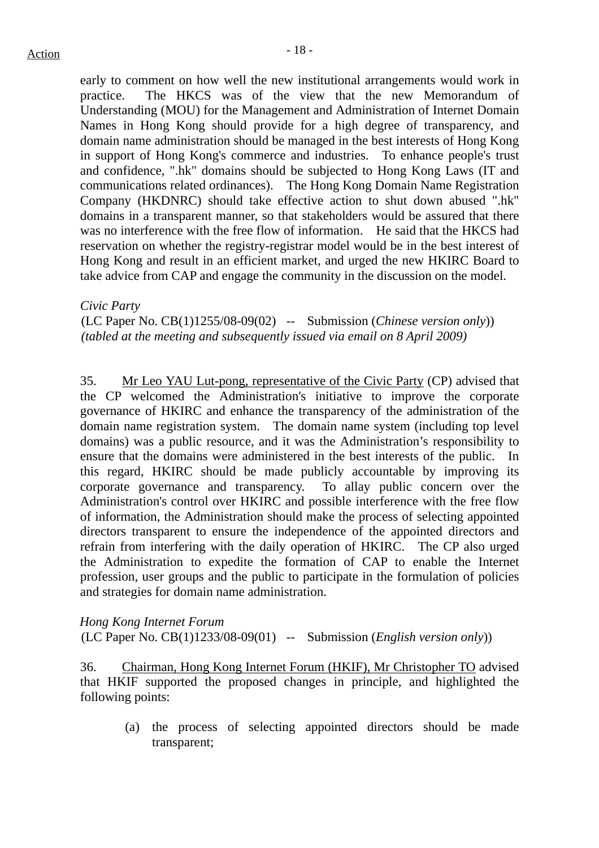early to comment on how well the new institutional arrangements would work in practice. The HKCS was of the view that the new Memorandum of Understanding (MOU) for the Management and Administration of Internet Domain Names in Hong Kong should provide for a high degree of transparency, and domain name administration should be managed in the best interests of Hong Kong in support of Hong Kong's commerce and industries. To enhance people's trust and confidence, ".hk" domains should be subjected to Hong Kong Laws (IT and communications related ordinances). The Hong Kong Domain Name Registration Company (HKDNRC) should take effective action to shut down abused ".hk" domains in a transparent manner, so that stakeholders would be assured that there was no interference with the free flow of information. He said that the HKCS had reservation on whether the registry-registrar model would be in the best interest of Hong Kong and result in an efficient market, and urged the new HKIRC Board to take advice from CAP and engage the community in the discussion on the model.

#### *Civic Party*

(LC Paper No. CB(1)1255/08-09(02) -- Submission (*Chinese version only*)) *(tabled at the meeting and subsequently issued via email on 8 April 2009)* 

35. Mr Leo YAU Lut-pong, representative of the Civic Party (CP) advised that the CP welcomed the Administration's initiative to improve the corporate governance of HKIRC and enhance the transparency of the administration of the domain name registration system. The domain name system (including top level domains) was a public resource, and it was the Administration's responsibility to ensure that the domains were administered in the best interests of the public. In this regard, HKIRC should be made publicly accountable by improving its corporate governance and transparency. To allay public concern over the Administration's control over HKIRC and possible interference with the free flow of information, the Administration should make the process of selecting appointed directors transparent to ensure the independence of the appointed directors and refrain from interfering with the daily operation of HKIRC. The CP also urged the Administration to expedite the formation of CAP to enable the Internet profession, user groups and the public to participate in the formulation of policies and strategies for domain name administration.

*Hong Kong Internet Forum*  (LC Paper No. CB(1)1233/08-09(01) -- Submission (*English version only*))

36. Chairman, Hong Kong Internet Forum (HKIF), Mr Christopher TO advised that HKIF supported the proposed changes in principle, and highlighted the following points:

(a) the process of selecting appointed directors should be made transparent;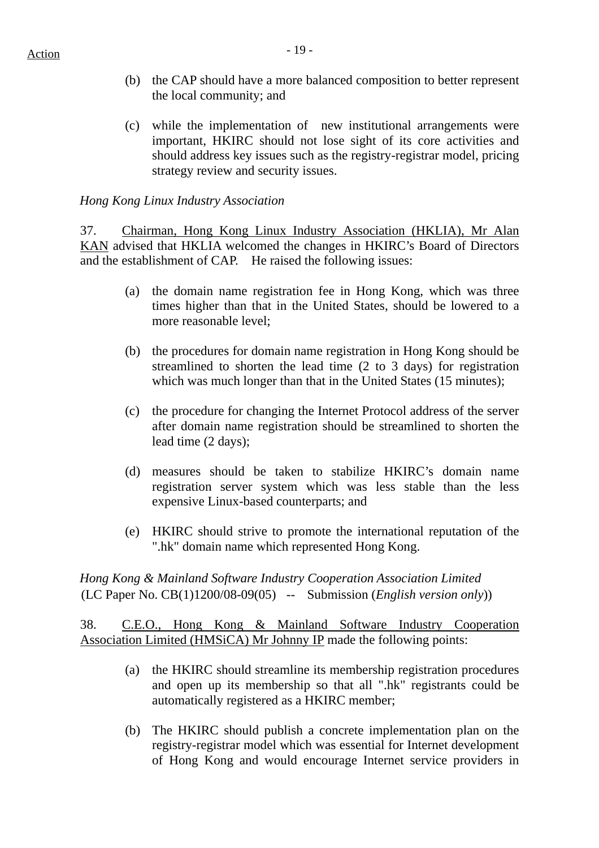- $Action$ 
	- (b) the CAP should have a more balanced composition to better represent the local community; and
	- (c) while the implementation of new institutional arrangements were important, HKIRC should not lose sight of its core activities and should address key issues such as the registry-registrar model, pricing strategy review and security issues.

# *Hong Kong Linux Industry Association*

37. Chairman, Hong Kong Linux Industry Association (HKLIA), Mr Alan KAN advised that HKLIA welcomed the changes in HKIRC's Board of Directors and the establishment of CAP. He raised the following issues:

- (a) the domain name registration fee in Hong Kong, which was three times higher than that in the United States, should be lowered to a more reasonable level;
- (b) the procedures for domain name registration in Hong Kong should be streamlined to shorten the lead time (2 to 3 days) for registration which was much longer than that in the United States (15 minutes);
- (c) the procedure for changing the Internet Protocol address of the server after domain name registration should be streamlined to shorten the lead time (2 days);
- (d) measures should be taken to stabilize HKIRC's domain name registration server system which was less stable than the less expensive Linux-based counterparts; and
- (e) HKIRC should strive to promote the international reputation of the ".hk" domain name which represented Hong Kong.

*Hong Kong & Mainland Software Industry Cooperation Association Limited*  (LC Paper No. CB(1)1200/08-09(05) -- Submission (*English version only*))

38. C.E.O., Hong Kong & Mainland Software Industry Cooperation Association Limited (HMSiCA) Mr Johnny IP made the following points:

- (a) the HKIRC should streamline its membership registration procedures and open up its membership so that all ".hk" registrants could be automatically registered as a HKIRC member;
- (b) The HKIRC should publish a concrete implementation plan on the registry-registrar model which was essential for Internet development of Hong Kong and would encourage Internet service providers in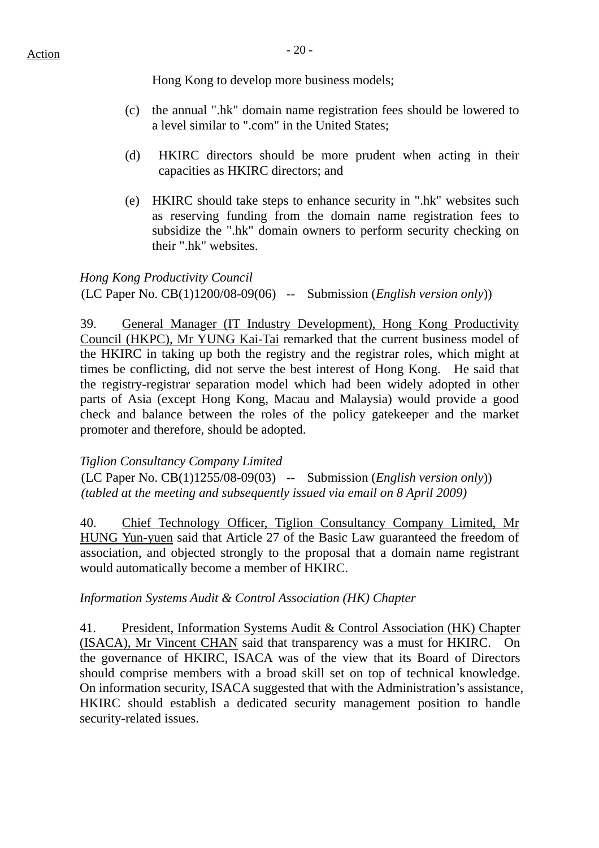Hong Kong to develop more business models;

- (c) the annual ".hk" domain name registration fees should be lowered to a level similar to ".com" in the United States;
- (d) HKIRC directors should be more prudent when acting in their capacities as HKIRC directors; and
- (e) HKIRC should take steps to enhance security in ".hk" websites such as reserving funding from the domain name registration fees to subsidize the ".hk" domain owners to perform security checking on their ".hk" websites.

*Hong Kong Productivity Council*  (LC Paper No. CB(1)1200/08-09(06) -- Submission (*English version only*))

39. General Manager (IT Industry Development), Hong Kong Productivity Council (HKPC), Mr YUNG Kai-Tai remarked that the current business model of the HKIRC in taking up both the registry and the registrar roles, which might at times be conflicting, did not serve the best interest of Hong Kong. He said that the registry-registrar separation model which had been widely adopted in other parts of Asia (except Hong Kong, Macau and Malaysia) would provide a good check and balance between the roles of the policy gatekeeper and the market promoter and therefore, should be adopted.

*Tiglion Consultancy Company Limited* 

(LC Paper No. CB(1)1255/08-09(03) -- Submission (*English version only*)) *(tabled at the meeting and subsequently issued via email on 8 April 2009)* 

40. Chief Technology Officer, Tiglion Consultancy Company Limited, Mr HUNG Yun-yuen said that Article 27 of the Basic Law guaranteed the freedom of association, and objected strongly to the proposal that a domain name registrant would automatically become a member of HKIRC.

*Information Systems Audit & Control Association (HK) Chapter* 

41. President, Information Systems Audit & Control Association (HK) Chapter (ISACA), Mr Vincent CHAN said that transparency was a must for HKIRC. On the governance of HKIRC, ISACA was of the view that its Board of Directors should comprise members with a broad skill set on top of technical knowledge. On information security, ISACA suggested that with the Administration's assistance, HKIRC should establish a dedicated security management position to handle security-related issues.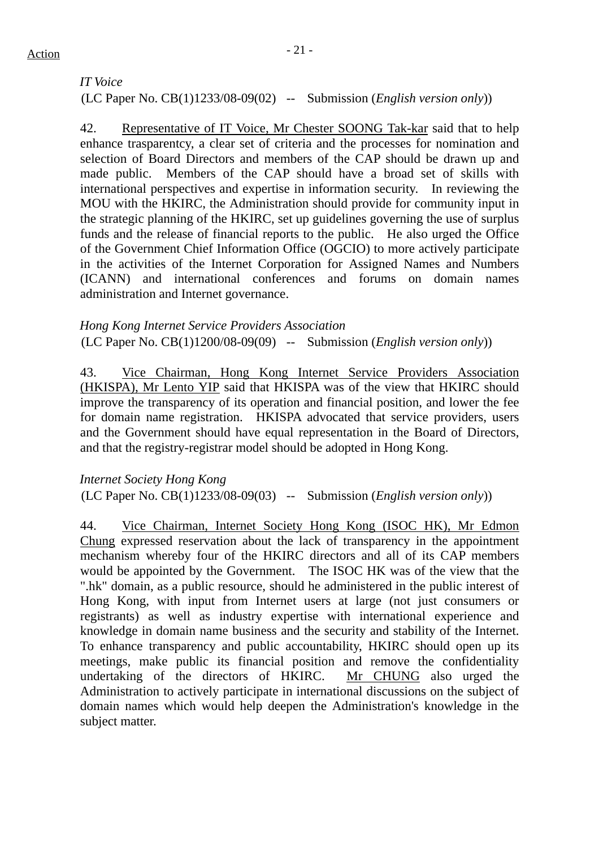# *IT Voice*  (LC Paper No. CB(1)1233/08-09(02) -- Submission (*English version only*))

42. Representative of IT Voice, Mr Chester SOONG Tak-kar said that to help enhance trasparentcy, a clear set of criteria and the processes for nomination and selection of Board Directors and members of the CAP should be drawn up and made public. Members of the CAP should have a broad set of skills with international perspectives and expertise in information security. In reviewing the MOU with the HKIRC, the Administration should provide for community input in the strategic planning of the HKIRC, set up guidelines governing the use of surplus funds and the release of financial reports to the public. He also urged the Office of the Government Chief Information Office (OGCIO) to more actively participate in the activities of the Internet Corporation for Assigned Names and Numbers (ICANN) and international conferences and forums on domain names administration and Internet governance.

# *Hong Kong Internet Service Providers Association*

(LC Paper No. CB(1)1200/08-09(09) -- Submission (*English version only*))

43. Vice Chairman, Hong Kong Internet Service Providers Association (HKISPA), Mr Lento YIP said that HKISPA was of the view that HKIRC should improve the transparency of its operation and financial position, and lower the fee for domain name registration. HKISPA advocated that service providers, users and the Government should have equal representation in the Board of Directors, and that the registry-registrar model should be adopted in Hong Kong.

*Internet Society Hong Kong*  (LC Paper No. CB(1)1233/08-09(03) -- Submission (*English version only*))

44. Vice Chairman, Internet Society Hong Kong (ISOC HK), Mr Edmon Chung expressed reservation about the lack of transparency in the appointment mechanism whereby four of the HKIRC directors and all of its CAP members would be appointed by the Government. The ISOC HK was of the view that the ".hk" domain, as a public resource, should he administered in the public interest of Hong Kong, with input from Internet users at large (not just consumers or registrants) as well as industry expertise with international experience and knowledge in domain name business and the security and stability of the Internet. To enhance transparency and public accountability, HKIRC should open up its meetings, make public its financial position and remove the confidentiality undertaking of the directors of HKIRC. Mr CHUNG also urged the Administration to actively participate in international discussions on the subject of domain names which would help deepen the Administration's knowledge in the subject matter.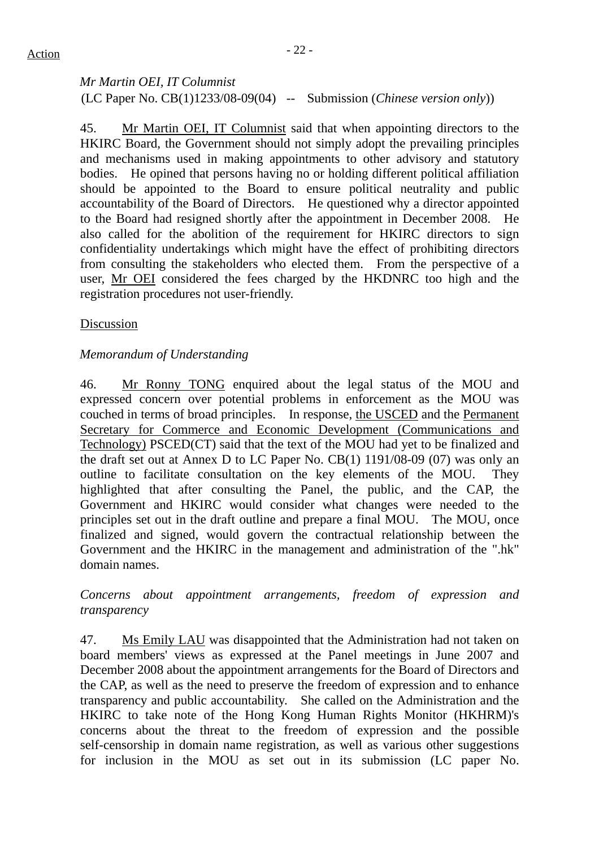# *Mr Martin OEI, IT Columnist*  (LC Paper No. CB(1)1233/08-09(04) -- Submission (*Chinese version only*))

45. Mr Martin OEI, IT Columnist said that when appointing directors to the HKIRC Board, the Government should not simply adopt the prevailing principles and mechanisms used in making appointments to other advisory and statutory bodies. He opined that persons having no or holding different political affiliation should be appointed to the Board to ensure political neutrality and public accountability of the Board of Directors. He questioned why a director appointed to the Board had resigned shortly after the appointment in December 2008. He also called for the abolition of the requirement for HKIRC directors to sign confidentiality undertakings which might have the effect of prohibiting directors from consulting the stakeholders who elected them. From the perspective of a user, Mr OEI considered the fees charged by the HKDNRC too high and the registration procedures not user-friendly.

# Discussion

# *Memorandum of Understanding*

46. Mr Ronny TONG enquired about the legal status of the MOU and expressed concern over potential problems in enforcement as the MOU was couched in terms of broad principles. In response, the USCED and the Permanent Secretary for Commerce and Economic Development (Communications and Technology) PSCED(CT) said that the text of the MOU had yet to be finalized and the draft set out at Annex D to LC Paper No. CB(1) 1191/08-09 (07) was only an outline to facilitate consultation on the key elements of the MOU. They highlighted that after consulting the Panel, the public, and the CAP, the Government and HKIRC would consider what changes were needed to the principles set out in the draft outline and prepare a final MOU. The MOU, once finalized and signed, would govern the contractual relationship between the Government and the HKIRC in the management and administration of the ".hk" domain names.

*Concerns about appointment arrangements, freedom of expression and transparency* 

47. Ms Emily LAU was disappointed that the Administration had not taken on board members' views as expressed at the Panel meetings in June 2007 and December 2008 about the appointment arrangements for the Board of Directors and the CAP, as well as the need to preserve the freedom of expression and to enhance transparency and public accountability. She called on the Administration and the HKIRC to take note of the Hong Kong Human Rights Monitor (HKHRM)'s concerns about the threat to the freedom of expression and the possible self-censorship in domain name registration, as well as various other suggestions for inclusion in the MOU as set out in its submission (LC paper No.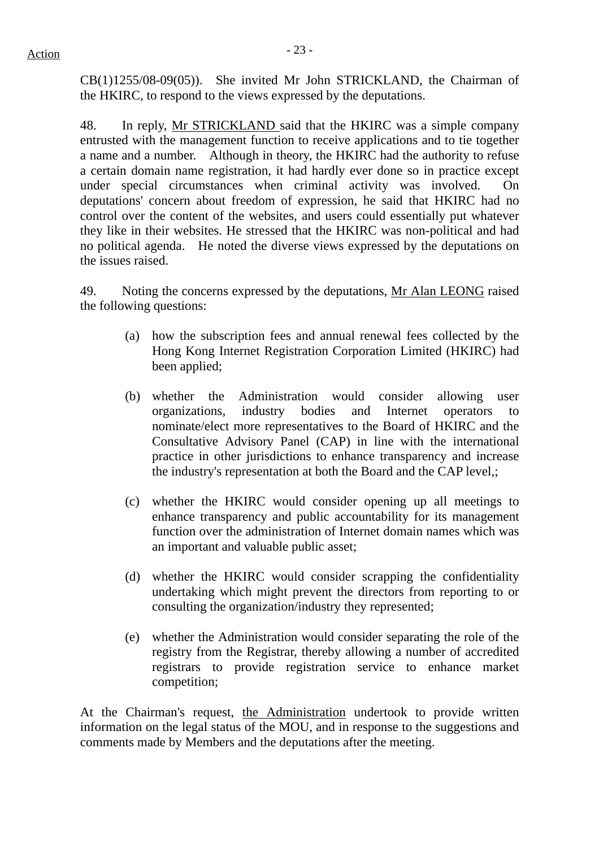CB(1)1255/08-09(05)). She invited Mr John STRICKLAND, the Chairman of the HKIRC, to respond to the views expressed by the deputations.

48. In reply, Mr STRICKLAND said that the HKIRC was a simple company entrusted with the management function to receive applications and to tie together a name and a number. Although in theory, the HKIRC had the authority to refuse a certain domain name registration, it had hardly ever done so in practice except under special circumstances when criminal activity was involved. On deputations' concern about freedom of expression, he said that HKIRC had no control over the content of the websites, and users could essentially put whatever they like in their websites. He stressed that the HKIRC was non-political and had no political agenda. He noted the diverse views expressed by the deputations on the issues raised.

49. Noting the concerns expressed by the deputations, Mr Alan LEONG raised the following questions:

- (a) how the subscription fees and annual renewal fees collected by the Hong Kong Internet Registration Corporation Limited (HKIRC) had been applied;
- (b) whether the Administration would consider allowing user organizations, industry bodies and Internet operators to nominate/elect more representatives to the Board of HKIRC and the Consultative Advisory Panel (CAP) in line with the international practice in other jurisdictions to enhance transparency and increase the industry's representation at both the Board and the CAP level,;
- (c) whether the HKIRC would consider opening up all meetings to enhance transparency and public accountability for its management function over the administration of Internet domain names which was an important and valuable public asset;
- (d) whether the HKIRC would consider scrapping the confidentiality undertaking which might prevent the directors from reporting to or consulting the organization/industry they represented;
- (e) whether the Administration would consider separating the role of the registry from the Registrar, thereby allowing a number of accredited registrars to provide registration service to enhance market competition;

At the Chairman's request, the Administration undertook to provide written information on the legal status of the MOU, and in response to the suggestions and comments made by Members and the deputations after the meeting.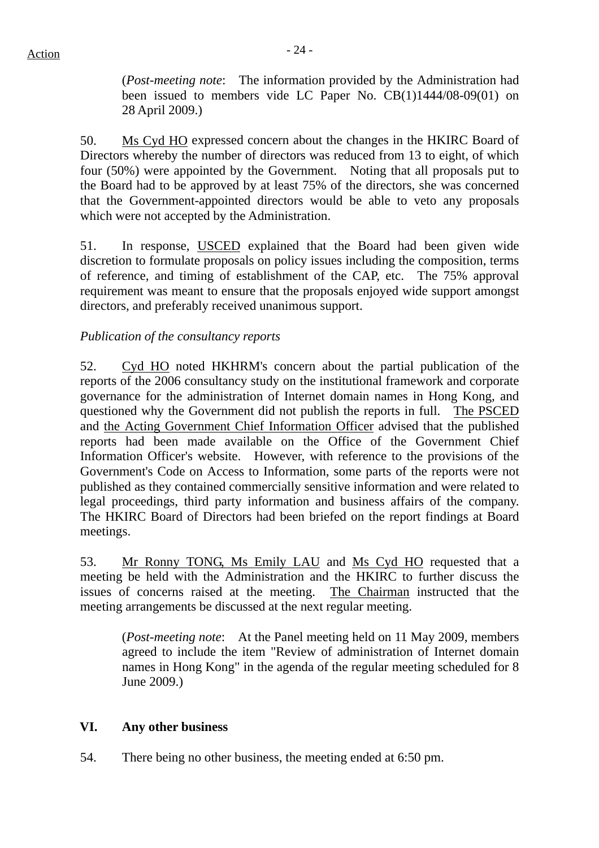(*Post-meeting note*: The information provided by the Administration had been issued to members vide LC Paper No. CB(1)1444/08-09(01) on 28 April 2009.)

50. Ms Cyd HO expressed concern about the changes in the HKIRC Board of Directors whereby the number of directors was reduced from 13 to eight, of which four (50%) were appointed by the Government. Noting that all proposals put to the Board had to be approved by at least 75% of the directors, she was concerned that the Government-appointed directors would be able to veto any proposals which were not accepted by the Administration.

51. In response, USCED explained that the Board had been given wide discretion to formulate proposals on policy issues including the composition, terms of reference, and timing of establishment of the CAP, etc. The 75% approval requirement was meant to ensure that the proposals enjoyed wide support amongst directors, and preferably received unanimous support.

# *Publication of the consultancy reports*

52. Cyd HO noted HKHRM's concern about the partial publication of the reports of the 2006 consultancy study on the institutional framework and corporate governance for the administration of Internet domain names in Hong Kong, and questioned why the Government did not publish the reports in full. The PSCED and the Acting Government Chief Information Officer advised that the published reports had been made available on the Office of the Government Chief Information Officer's website. However, with reference to the provisions of the Government's Code on Access to Information, some parts of the reports were not published as they contained commercially sensitive information and were related to legal proceedings, third party information and business affairs of the company. The HKIRC Board of Directors had been briefed on the report findings at Board meetings.

53. Mr Ronny TONG, Ms Emily LAU and Ms Cyd HO requested that a meeting be held with the Administration and the HKIRC to further discuss the issues of concerns raised at the meeting. The Chairman instructed that the meeting arrangements be discussed at the next regular meeting.

(*Post-meeting note*: At the Panel meeting held on 11 May 2009, members agreed to include the item "Review of administration of Internet domain names in Hong Kong" in the agenda of the regular meeting scheduled for 8 June 2009.)

#### **VI. Any other business**

54. There being no other business, the meeting ended at 6:50 pm.